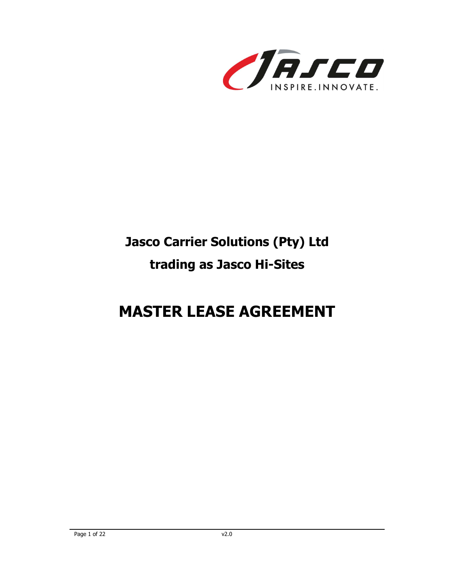

# Jasco Carrier Solutions (Pty) Ltd trading as Jasco Hi-Sites

# MASTER LEASE AGREEMENT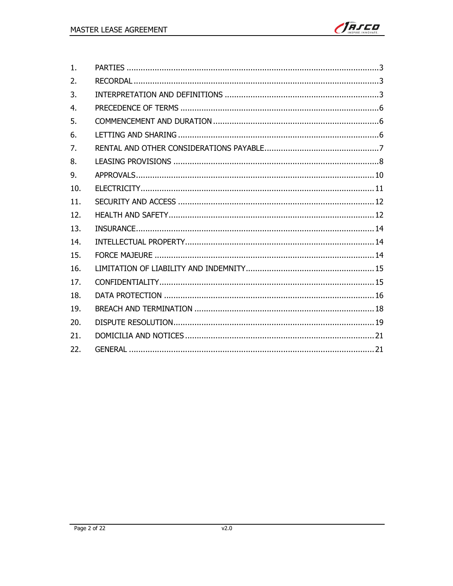

| 1.             |  |
|----------------|--|
| 2.             |  |
| 3.             |  |
| 4 <sub>1</sub> |  |
| 5.             |  |
| 6.             |  |
| 7.             |  |
| 8.             |  |
| 9.             |  |
| 10.            |  |
| 11.            |  |
| 12.            |  |
| 13.            |  |
| 14.            |  |
| 15.            |  |
| 16.            |  |
| 17.            |  |
| 18.            |  |
| 19.            |  |
| 20.            |  |
| 21.            |  |
| 22.            |  |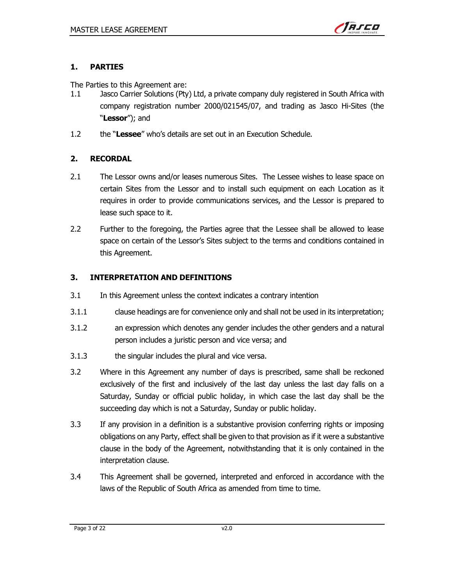

#### 1. PARTIES

The Parties to this Agreement are:

- 1.1 Jasco Carrier Solutions (Pty) Ltd, a private company duly registered in South Africa with company registration number 2000/021545/07, and trading as Jasco Hi-Sites (the "Lessor"); and
- 1.2 the "Lessee" who's details are set out in an Execution Schedule.

# 2. RECORDAL

- 2.1 The Lessor owns and/or leases numerous Sites. The Lessee wishes to lease space on certain Sites from the Lessor and to install such equipment on each Location as it requires in order to provide communications services, and the Lessor is prepared to lease such space to it.
- 2.2 Further to the foregoing, the Parties agree that the Lessee shall be allowed to lease space on certain of the Lessor's Sites subject to the terms and conditions contained in this Agreement.

#### 3. INTERPRETATION AND DEFINITIONS

- 3.1 In this Agreement unless the context indicates a contrary intention
- 3.1.1 clause headings are for convenience only and shall not be used in its interpretation;
- 3.1.2 an expression which denotes any gender includes the other genders and a natural person includes a juristic person and vice versa; and
- 3.1.3 the singular includes the plural and vice versa.
- 3.2 Where in this Agreement any number of days is prescribed, same shall be reckoned exclusively of the first and inclusively of the last day unless the last day falls on a Saturday, Sunday or official public holiday, in which case the last day shall be the succeeding day which is not a Saturday, Sunday or public holiday.
- 3.3 If any provision in a definition is a substantive provision conferring rights or imposing obligations on any Party, effect shall be given to that provision as if it were a substantive clause in the body of the Agreement, notwithstanding that it is only contained in the interpretation clause.
- 3.4 This Agreement shall be governed, interpreted and enforced in accordance with the laws of the Republic of South Africa as amended from time to time.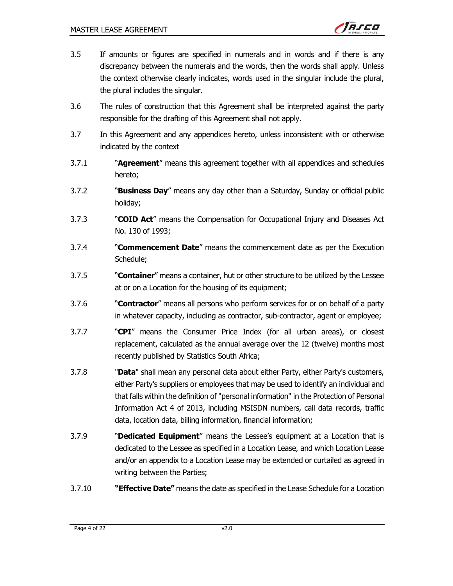- 3.5 If amounts or figures are specified in numerals and in words and if there is any discrepancy between the numerals and the words, then the words shall apply. Unless the context otherwise clearly indicates, words used in the singular include the plural, the plural includes the singular.
- 3.6 The rules of construction that this Agreement shall be interpreted against the party responsible for the drafting of this Agreement shall not apply.
- 3.7 In this Agreement and any appendices hereto, unless inconsistent with or otherwise indicated by the context
- 3.7.1 ""Agreement" means this agreement together with all appendices and schedules hereto;
- 3.7.2 **"Business Day**" means any day other than a Saturday, Sunday or official public holiday;
- 3.7.3 ""COID Act" means the Compensation for Occupational Injury and Diseases Act No. 130 of 1993;
- 3.7.4 **"Commencement Date"** means the commencement date as per the Execution Schedule;
- 3.7.5 " **Container**" means a container, hut or other structure to be utilized by the Lessee at or on a Location for the housing of its equipment;
- 3.7.6 "
Contractor" means all persons who perform services for or on behalf of a party in whatever capacity, including as contractor, sub-contractor, agent or employee;
- 3.7.7 " **CPI**" means the Consumer Price Index (for all urban areas), or closest replacement, calculated as the annual average over the 12 (twelve) months most recently published by Statistics South Africa;
- 3.7.8 **"Data**" shall mean any personal data about either Party, either Party's customers, either Party's suppliers or employees that may be used to identify an individual and that falls within the definition of "personal information" in the Protection of Personal Information Act 4 of 2013, including MSISDN numbers, call data records, traffic data, location data, billing information, financial information;
- 3.7.9 **"Dedicated Equipment**" means the Lessee's equipment at a Location that is dedicated to the Lessee as specified in a Location Lease, and which Location Lease and/or an appendix to a Location Lease may be extended or curtailed as agreed in writing between the Parties;
- 3.7.10 ""**Effective Date"** means the date as specified in the Lease Schedule for a Location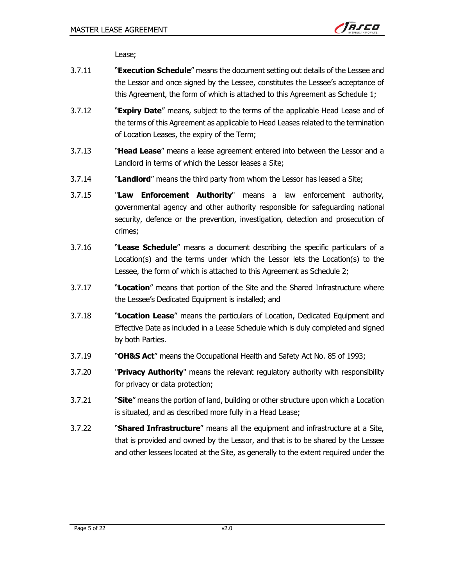

Lease;

- 3.7.11 **Execution Schedule**" means the document setting out details of the Lessee and the Lessor and once signed by the Lessee, constitutes the Lessee's acceptance of this Agreement, the form of which is attached to this Agreement as Schedule 1;
- 3.7.12 ""Expiry Date" means, subject to the terms of the applicable Head Lease and of the terms of this Agreement as applicable to Head Leases related to the termination of Location Leases, the expiry of the Term;
- 3.7.13 "Head Lease" means a lease agreement entered into between the Lessor and a Landlord in terms of which the Lessor leases a Site;
- 3.7.14 ""Landlord" means the third party from whom the Lessor has leased a Site;
- 3.7.15 "Law Enforcement Authority" means a law enforcement authority, governmental agency and other authority responsible for safeguarding national security, defence or the prevention, investigation, detection and prosecution of crimes;
- 3.7.16 **"Lease Schedule**" means a document describing the specific particulars of a Location(s) and the terms under which the Lessor lets the Location(s) to the Lessee, the form of which is attached to this Agreement as Schedule 2;
- 3.7.17 "Superstrian" means that portion of the Site and the Shared Infrastructure where the Lessee's Dedicated Equipment is installed; and
- 3.7.18 "
Cocation Lease" means the particulars of Location, Dedicated Equipment and Effective Date as included in a Lease Schedule which is duly completed and signed by both Parties.
- 3.7.19 "**OH&S Act**" means the Occupational Health and Safety Act No. 85 of 1993;
- 3.7.20 **"Privacy Authority**" means the relevant regulatory authority with responsibility for privacy or data protection;
- 3.7.21 "Site" means the portion of land, building or other structure upon which a Location is situated, and as described more fully in a Head Lease;
- 3.7.22 "Shared Infrastructure" means all the equipment and infrastructure at a Site, that is provided and owned by the Lessor, and that is to be shared by the Lessee and other lessees located at the Site, as generally to the extent required under the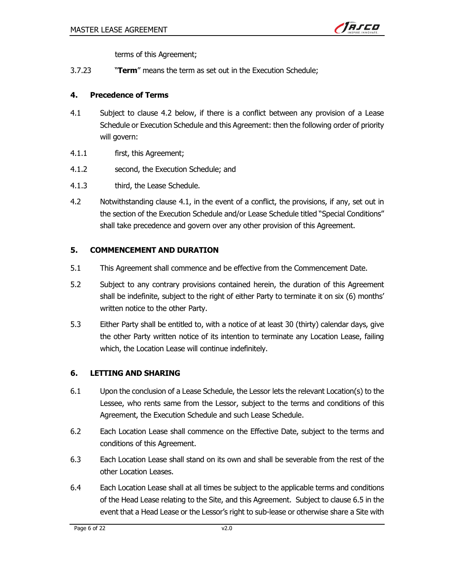

terms of this Agreement;

3.7.23 **Term**" means the term as set out in the Execution Schedule:

#### 4. Precedence of Terms

- 4.1 Subject to clause 4.2 below, if there is a conflict between any provision of a Lease Schedule or Execution Schedule and this Agreement: then the following order of priority will govern:
- 4.1.1 first, this Agreement;
- 4.1.2 second, the Execution Schedule; and
- 4.1.3 third, the Lease Schedule.
- 4.2 Notwithstanding clause 4.1, in the event of a conflict, the provisions, if any, set out in the section of the Execution Schedule and/or Lease Schedule titled "Special Conditions" shall take precedence and govern over any other provision of this Agreement.

#### 5. COMMENCEMENT AND DURATION

- 5.1 This Agreement shall commence and be effective from the Commencement Date.
- 5.2 Subject to any contrary provisions contained herein, the duration of this Agreement shall be indefinite, subject to the right of either Party to terminate it on six (6) months' written notice to the other Party.
- 5.3 Either Party shall be entitled to, with a notice of at least 30 (thirty) calendar days, give the other Party written notice of its intention to terminate any Location Lease, failing which, the Location Lease will continue indefinitely.

#### 6. LETTING AND SHARING

- 6.1 Upon the conclusion of a Lease Schedule, the Lessor lets the relevant Location(s) to the Lessee, who rents same from the Lessor, subject to the terms and conditions of this Agreement, the Execution Schedule and such Lease Schedule.
- 6.2 Each Location Lease shall commence on the Effective Date, subject to the terms and conditions of this Agreement.
- 6.3 Each Location Lease shall stand on its own and shall be severable from the rest of the other Location Leases.
- 6.4 Each Location Lease shall at all times be subject to the applicable terms and conditions of the Head Lease relating to the Site, and this Agreement. Subject to clause 6.5 in the event that a Head Lease or the Lessor's right to sub-lease or otherwise share a Site with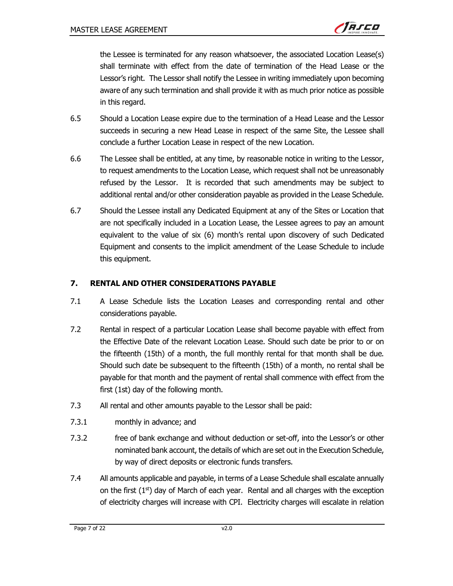

the Lessee is terminated for any reason whatsoever, the associated Location Lease(s) shall terminate with effect from the date of termination of the Head Lease or the Lessor's right. The Lessor shall notify the Lessee in writing immediately upon becoming aware of any such termination and shall provide it with as much prior notice as possible in this regard.

- 6.5 Should a Location Lease expire due to the termination of a Head Lease and the Lessor succeeds in securing a new Head Lease in respect of the same Site, the Lessee shall conclude a further Location Lease in respect of the new Location.
- 6.6 The Lessee shall be entitled, at any time, by reasonable notice in writing to the Lessor, to request amendments to the Location Lease, which request shall not be unreasonably refused by the Lessor. It is recorded that such amendments may be subject to additional rental and/or other consideration payable as provided in the Lease Schedule.
- 6.7 Should the Lessee install any Dedicated Equipment at any of the Sites or Location that are not specifically included in a Location Lease, the Lessee agrees to pay an amount equivalent to the value of six (6) month's rental upon discovery of such Dedicated Equipment and consents to the implicit amendment of the Lease Schedule to include this equipment.

#### 7. RENTAL AND OTHER CONSIDERATIONS PAYABLE

- 7.1 A Lease Schedule lists the Location Leases and corresponding rental and other considerations payable.
- 7.2 Rental in respect of a particular Location Lease shall become payable with effect from the Effective Date of the relevant Location Lease. Should such date be prior to or on the fifteenth (15th) of a month, the full monthly rental for that month shall be due. Should such date be subsequent to the fifteenth (15th) of a month, no rental shall be payable for that month and the payment of rental shall commence with effect from the first (1st) day of the following month.
- 7.3 All rental and other amounts payable to the Lessor shall be paid:
- 7.3.1 monthly in advance; and
- 7.3.2 free of bank exchange and without deduction or set-off, into the Lessor's or other nominated bank account, the details of which are set out in the Execution Schedule, by way of direct deposits or electronic funds transfers.
- 7.4 All amounts applicable and payable, in terms of a Lease Schedule shall escalate annually on the first  $(1<sup>st</sup>)$  day of March of each year. Rental and all charges with the exception of electricity charges will increase with CPI. Electricity charges will escalate in relation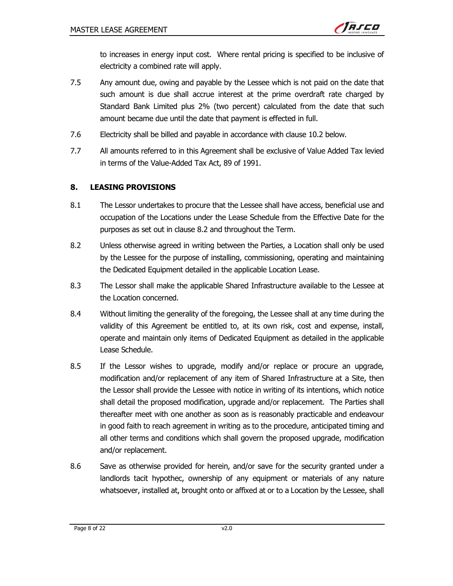to increases in energy input cost. Where rental pricing is specified to be inclusive of electricity a combined rate will apply.

- 7.5 Any amount due, owing and payable by the Lessee which is not paid on the date that such amount is due shall accrue interest at the prime overdraft rate charged by Standard Bank Limited plus 2% (two percent) calculated from the date that such amount became due until the date that payment is effected in full.
- 7.6 Electricity shall be billed and payable in accordance with clause 10.2 below.
- 7.7 All amounts referred to in this Agreement shall be exclusive of Value Added Tax levied in terms of the Value-Added Tax Act, 89 of 1991.

#### 8. LEASING PROVISIONS

- 8.1 The Lessor undertakes to procure that the Lessee shall have access, beneficial use and occupation of the Locations under the Lease Schedule from the Effective Date for the purposes as set out in clause 8.2 and throughout the Term.
- 8.2 Unless otherwise agreed in writing between the Parties, a Location shall only be used by the Lessee for the purpose of installing, commissioning, operating and maintaining the Dedicated Equipment detailed in the applicable Location Lease.
- 8.3 The Lessor shall make the applicable Shared Infrastructure available to the Lessee at the Location concerned.
- 8.4 Without limiting the generality of the foregoing, the Lessee shall at any time during the validity of this Agreement be entitled to, at its own risk, cost and expense, install, operate and maintain only items of Dedicated Equipment as detailed in the applicable Lease Schedule.
- 8.5 If the Lessor wishes to upgrade, modify and/or replace or procure an upgrade, modification and/or replacement of any item of Shared Infrastructure at a Site, then the Lessor shall provide the Lessee with notice in writing of its intentions, which notice shall detail the proposed modification, upgrade and/or replacement. The Parties shall thereafter meet with one another as soon as is reasonably practicable and endeavour in good faith to reach agreement in writing as to the procedure, anticipated timing and all other terms and conditions which shall govern the proposed upgrade, modification and/or replacement.
- 8.6 Save as otherwise provided for herein, and/or save for the security granted under a landlords tacit hypothec, ownership of any equipment or materials of any nature whatsoever, installed at, brought onto or affixed at or to a Location by the Lessee, shall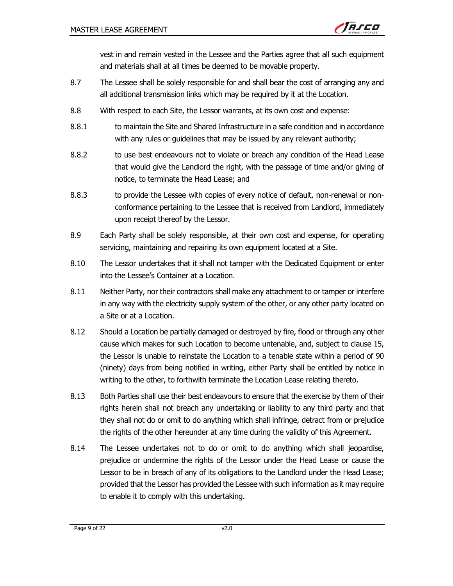vest in and remain vested in the Lessee and the Parties agree that all such equipment and materials shall at all times be deemed to be movable property.

- 8.7 The Lessee shall be solely responsible for and shall bear the cost of arranging any and all additional transmission links which may be required by it at the Location.
- 8.8 With respect to each Site, the Lessor warrants, at its own cost and expense:
- 8.8.1 to maintain the Site and Shared Infrastructure in a safe condition and in accordance with any rules or guidelines that may be issued by any relevant authority;
- 8.8.2 to use best endeavours not to violate or breach any condition of the Head Lease that would give the Landlord the right, with the passage of time and/or giving of notice, to terminate the Head Lease; and
- 8.8.3 to provide the Lessee with copies of every notice of default, non-renewal or nonconformance pertaining to the Lessee that is received from Landlord, immediately upon receipt thereof by the Lessor.
- 8.9 Each Party shall be solely responsible, at their own cost and expense, for operating servicing, maintaining and repairing its own equipment located at a Site.
- 8.10 The Lessor undertakes that it shall not tamper with the Dedicated Equipment or enter into the Lessee's Container at a Location.
- 8.11 Neither Party, nor their contractors shall make any attachment to or tamper or interfere in any way with the electricity supply system of the other, or any other party located on a Site or at a Location.
- 8.12 Should a Location be partially damaged or destroyed by fire, flood or through any other cause which makes for such Location to become untenable, and, subject to clause 15, the Lessor is unable to reinstate the Location to a tenable state within a period of 90 (ninety) days from being notified in writing, either Party shall be entitled by notice in writing to the other, to forthwith terminate the Location Lease relating thereto.
- 8.13 Both Parties shall use their best endeavours to ensure that the exercise by them of their rights herein shall not breach any undertaking or liability to any third party and that they shall not do or omit to do anything which shall infringe, detract from or prejudice the rights of the other hereunder at any time during the validity of this Agreement.
- 8.14 The Lessee undertakes not to do or omit to do anything which shall jeopardise, prejudice or undermine the rights of the Lessor under the Head Lease or cause the Lessor to be in breach of any of its obligations to the Landlord under the Head Lease; provided that the Lessor has provided the Lessee with such information as it may require to enable it to comply with this undertaking.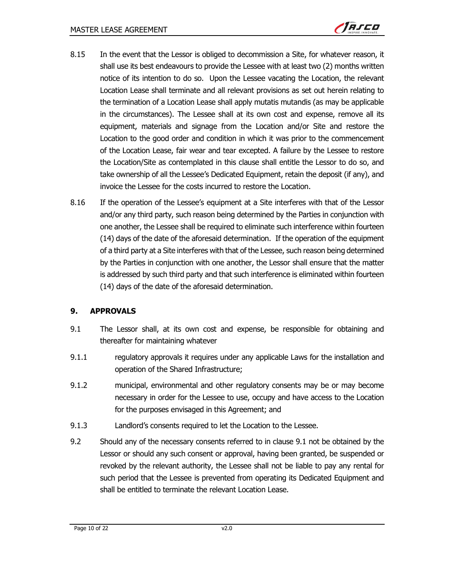- 8.15 In the event that the Lessor is obliged to decommission a Site, for whatever reason, it shall use its best endeavours to provide the Lessee with at least two (2) months written notice of its intention to do so. Upon the Lessee vacating the Location, the relevant Location Lease shall terminate and all relevant provisions as set out herein relating to the termination of a Location Lease shall apply mutatis mutandis (as may be applicable in the circumstances). The Lessee shall at its own cost and expense, remove all its equipment, materials and signage from the Location and/or Site and restore the Location to the good order and condition in which it was prior to the commencement of the Location Lease, fair wear and tear excepted. A failure by the Lessee to restore the Location/Site as contemplated in this clause shall entitle the Lessor to do so, and take ownership of all the Lessee's Dedicated Equipment, retain the deposit (if any), and invoice the Lessee for the costs incurred to restore the Location.
- 8.16 If the operation of the Lessee's equipment at a Site interferes with that of the Lessor and/or any third party, such reason being determined by the Parties in conjunction with one another, the Lessee shall be required to eliminate such interference within fourteen (14) days of the date of the aforesaid determination. If the operation of the equipment of a third party at a Site interferes with that of the Lessee, such reason being determined by the Parties in conjunction with one another, the Lessor shall ensure that the matter is addressed by such third party and that such interference is eliminated within fourteen (14) days of the date of the aforesaid determination.

# 9. APPROVALS

- 9.1 The Lessor shall, at its own cost and expense, be responsible for obtaining and thereafter for maintaining whatever
- 9.1.1 regulatory approvals it requires under any applicable Laws for the installation and operation of the Shared Infrastructure;
- 9.1.2 municipal, environmental and other regulatory consents may be or may become necessary in order for the Lessee to use, occupy and have access to the Location for the purposes envisaged in this Agreement; and
- 9.1.3 Landlord's consents required to let the Location to the Lessee.
- 9.2 Should any of the necessary consents referred to in clause 9.1 not be obtained by the Lessor or should any such consent or approval, having been granted, be suspended or revoked by the relevant authority, the Lessee shall not be liable to pay any rental for such period that the Lessee is prevented from operating its Dedicated Equipment and shall be entitled to terminate the relevant Location Lease.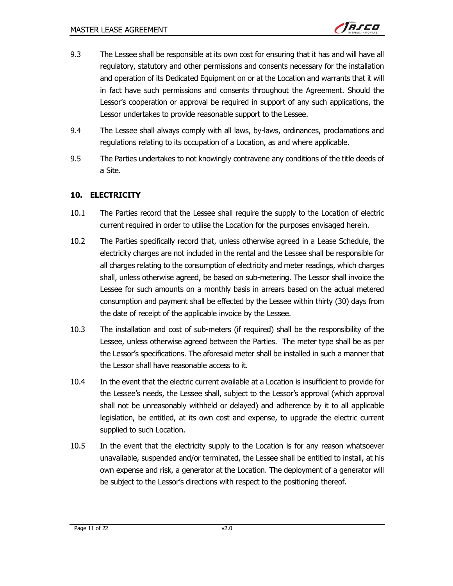- 9.3 The Lessee shall be responsible at its own cost for ensuring that it has and will have all regulatory, statutory and other permissions and consents necessary for the installation and operation of its Dedicated Equipment on or at the Location and warrants that it will in fact have such permissions and consents throughout the Agreement. Should the Lessor's cooperation or approval be required in support of any such applications, the Lessor undertakes to provide reasonable support to the Lessee.
- 9.4 The Lessee shall always comply with all laws, by-laws, ordinances, proclamations and regulations relating to its occupation of a Location, as and where applicable.
- 9.5 The Parties undertakes to not knowingly contravene any conditions of the title deeds of a Site.

# 10. ELECTRICITY

- 10.1 The Parties record that the Lessee shall require the supply to the Location of electric current required in order to utilise the Location for the purposes envisaged herein.
- 10.2 The Parties specifically record that, unless otherwise agreed in a Lease Schedule, the electricity charges are not included in the rental and the Lessee shall be responsible for all charges relating to the consumption of electricity and meter readings, which charges shall, unless otherwise agreed, be based on sub-metering. The Lessor shall invoice the Lessee for such amounts on a monthly basis in arrears based on the actual metered consumption and payment shall be effected by the Lessee within thirty (30) days from the date of receipt of the applicable invoice by the Lessee.
- 10.3 The installation and cost of sub-meters (if required) shall be the responsibility of the Lessee, unless otherwise agreed between the Parties. The meter type shall be as per the Lessor's specifications. The aforesaid meter shall be installed in such a manner that the Lessor shall have reasonable access to it.
- 10.4 In the event that the electric current available at a Location is insufficient to provide for the Lessee's needs, the Lessee shall, subject to the Lessor's approval (which approval shall not be unreasonably withheld or delayed) and adherence by it to all applicable legislation, be entitled, at its own cost and expense, to upgrade the electric current supplied to such Location.
- 10.5 In the event that the electricity supply to the Location is for any reason whatsoever unavailable, suspended and/or terminated, the Lessee shall be entitled to install, at his own expense and risk, a generator at the Location. The deployment of a generator will be subject to the Lessor's directions with respect to the positioning thereof.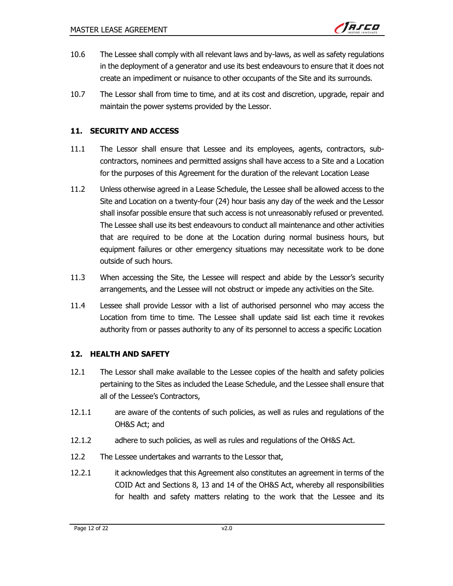- 10.6 The Lessee shall comply with all relevant laws and by-laws, as well as safety regulations in the deployment of a generator and use its best endeavours to ensure that it does not create an impediment or nuisance to other occupants of the Site and its surrounds.
- 10.7 The Lessor shall from time to time, and at its cost and discretion, upgrade, repair and maintain the power systems provided by the Lessor.

#### 11. SECURITY AND ACCESS

- 11.1 The Lessor shall ensure that Lessee and its employees, agents, contractors, subcontractors, nominees and permitted assigns shall have access to a Site and a Location for the purposes of this Agreement for the duration of the relevant Location Lease
- 11.2 Unless otherwise agreed in a Lease Schedule, the Lessee shall be allowed access to the Site and Location on a twenty-four (24) hour basis any day of the week and the Lessor shall insofar possible ensure that such access is not unreasonably refused or prevented. The Lessee shall use its best endeavours to conduct all maintenance and other activities that are required to be done at the Location during normal business hours, but equipment failures or other emergency situations may necessitate work to be done outside of such hours.
- 11.3 When accessing the Site, the Lessee will respect and abide by the Lessor's security arrangements, and the Lessee will not obstruct or impede any activities on the Site.
- 11.4 Lessee shall provide Lessor with a list of authorised personnel who may access the Location from time to time. The Lessee shall update said list each time it revokes authority from or passes authority to any of its personnel to access a specific Location

# 12. HEALTH AND SAFETY

- 12.1 The Lessor shall make available to the Lessee copies of the health and safety policies pertaining to the Sites as included the Lease Schedule, and the Lessee shall ensure that all of the Lessee's Contractors,
- 12.1.1 are aware of the contents of such policies, as well as rules and regulations of the OH&S Act; and
- 12.1.2 adhere to such policies, as well as rules and regulations of the OH&S Act.
- 12.2 The Lessee undertakes and warrants to the Lessor that,
- 12.2.1 it acknowledges that this Agreement also constitutes an agreement in terms of the COID Act and Sections 8, 13 and 14 of the OH&S Act, whereby all responsibilities for health and safety matters relating to the work that the Lessee and its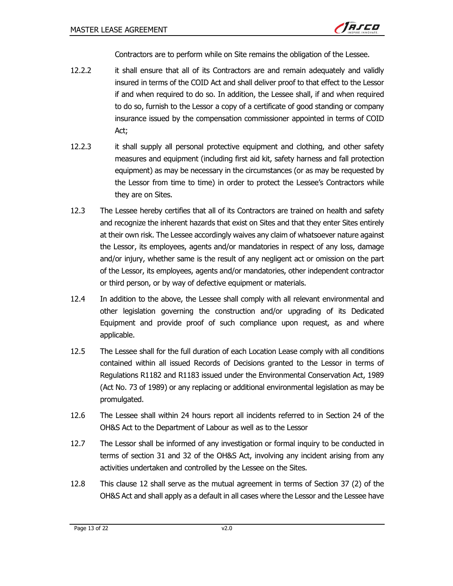Contractors are to perform while on Site remains the obligation of the Lessee.

- 12.2.2 it shall ensure that all of its Contractors are and remain adequately and validly insured in terms of the COID Act and shall deliver proof to that effect to the Lessor if and when required to do so. In addition, the Lessee shall, if and when required to do so, furnish to the Lessor a copy of a certificate of good standing or company insurance issued by the compensation commissioner appointed in terms of COID Act;
- 12.2.3 it shall supply all personal protective equipment and clothing, and other safety measures and equipment (including first aid kit, safety harness and fall protection equipment) as may be necessary in the circumstances (or as may be requested by the Lessor from time to time) in order to protect the Lessee's Contractors while they are on Sites.
- 12.3 The Lessee hereby certifies that all of its Contractors are trained on health and safety and recognize the inherent hazards that exist on Sites and that they enter Sites entirely at their own risk. The Lessee accordingly waives any claim of whatsoever nature against the Lessor, its employees, agents and/or mandatories in respect of any loss, damage and/or injury, whether same is the result of any negligent act or omission on the part of the Lessor, its employees, agents and/or mandatories, other independent contractor or third person, or by way of defective equipment or materials.
- 12.4 In addition to the above, the Lessee shall comply with all relevant environmental and other legislation governing the construction and/or upgrading of its Dedicated Equipment and provide proof of such compliance upon request, as and where applicable.
- 12.5 The Lessee shall for the full duration of each Location Lease comply with all conditions contained within all issued Records of Decisions granted to the Lessor in terms of Regulations R1182 and R1183 issued under the Environmental Conservation Act, 1989 (Act No. 73 of 1989) or any replacing or additional environmental legislation as may be promulgated.
- 12.6 The Lessee shall within 24 hours report all incidents referred to in Section 24 of the OH&S Act to the Department of Labour as well as to the Lessor
- 12.7 The Lessor shall be informed of any investigation or formal inquiry to be conducted in terms of section 31 and 32 of the OH&S Act, involving any incident arising from any activities undertaken and controlled by the Lessee on the Sites.
- 12.8 This clause 12 shall serve as the mutual agreement in terms of Section 37 (2) of the OH&S Act and shall apply as a default in all cases where the Lessor and the Lessee have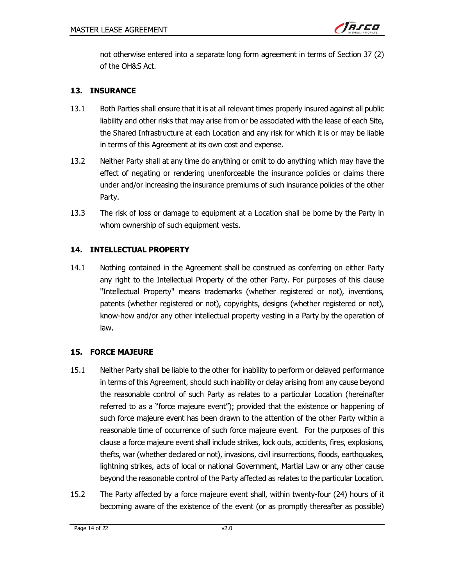

not otherwise entered into a separate long form agreement in terms of Section 37 (2) of the OH&S Act.

### 13. INSURANCE

- 13.1 Both Parties shall ensure that it is at all relevant times properly insured against all public liability and other risks that may arise from or be associated with the lease of each Site, the Shared Infrastructure at each Location and any risk for which it is or may be liable in terms of this Agreement at its own cost and expense.
- 13.2 Neither Party shall at any time do anything or omit to do anything which may have the effect of negating or rendering unenforceable the insurance policies or claims there under and/or increasing the insurance premiums of such insurance policies of the other Party.
- 13.3 The risk of loss or damage to equipment at a Location shall be borne by the Party in whom ownership of such equipment vests.

#### 14. INTELLECTUAL PROPERTY

14.1 Nothing contained in the Agreement shall be construed as conferring on either Party any right to the Intellectual Property of the other Party. For purposes of this clause "Intellectual Property" means trademarks (whether registered or not), inventions, patents (whether registered or not), copyrights, designs (whether registered or not), know-how and/or any other intellectual property vesting in a Party by the operation of law.

#### 15. FORCE MAJEURE

- 15.1 Neither Party shall be liable to the other for inability to perform or delayed performance in terms of this Agreement, should such inability or delay arising from any cause beyond the reasonable control of such Party as relates to a particular Location (hereinafter referred to as a "force majeure event"); provided that the existence or happening of such force majeure event has been drawn to the attention of the other Party within a reasonable time of occurrence of such force majeure event. For the purposes of this clause a force majeure event shall include strikes, lock outs, accidents, fires, explosions, thefts, war (whether declared or not), invasions, civil insurrections, floods, earthquakes, lightning strikes, acts of local or national Government, Martial Law or any other cause beyond the reasonable control of the Party affected as relates to the particular Location.
- 15.2 The Party affected by a force majeure event shall, within twenty-four (24) hours of it becoming aware of the existence of the event (or as promptly thereafter as possible)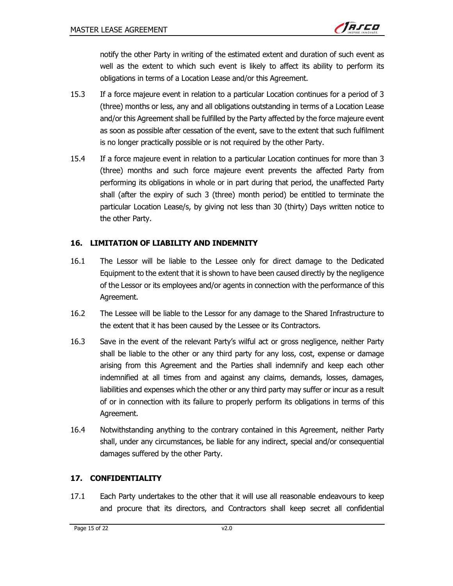

notify the other Party in writing of the estimated extent and duration of such event as well as the extent to which such event is likely to affect its ability to perform its obligations in terms of a Location Lease and/or this Agreement.

- 15.3 If a force majeure event in relation to a particular Location continues for a period of 3 (three) months or less, any and all obligations outstanding in terms of a Location Lease and/or this Agreement shall be fulfilled by the Party affected by the force majeure event as soon as possible after cessation of the event, save to the extent that such fulfilment is no longer practically possible or is not required by the other Party.
- 15.4 If a force majeure event in relation to a particular Location continues for more than 3 (three) months and such force majeure event prevents the affected Party from performing its obligations in whole or in part during that period, the unaffected Party shall (after the expiry of such 3 (three) month period) be entitled to terminate the particular Location Lease/s, by giving not less than 30 (thirty) Days written notice to the other Party.

#### 16. LIMITATION OF LIABILITY AND INDEMNITY

- 16.1 The Lessor will be liable to the Lessee only for direct damage to the Dedicated Equipment to the extent that it is shown to have been caused directly by the negligence of the Lessor or its employees and/or agents in connection with the performance of this Agreement.
- 16.2 The Lessee will be liable to the Lessor for any damage to the Shared Infrastructure to the extent that it has been caused by the Lessee or its Contractors.
- 16.3 Save in the event of the relevant Party's wilful act or gross negligence, neither Party shall be liable to the other or any third party for any loss, cost, expense or damage arising from this Agreement and the Parties shall indemnify and keep each other indemnified at all times from and against any claims, demands, losses, damages, liabilities and expenses which the other or any third party may suffer or incur as a result of or in connection with its failure to properly perform its obligations in terms of this Agreement.
- 16.4 Notwithstanding anything to the contrary contained in this Agreement, neither Party shall, under any circumstances, be liable for any indirect, special and/or consequential damages suffered by the other Party.

# 17. CONFIDENTIALITY

17.1 Each Party undertakes to the other that it will use all reasonable endeavours to keep and procure that its directors, and Contractors shall keep secret all confidential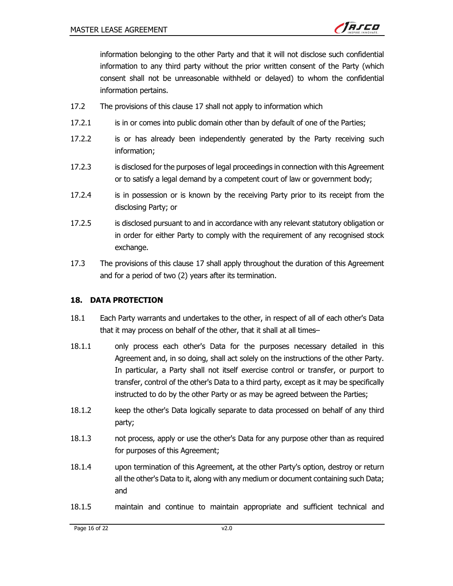

information belonging to the other Party and that it will not disclose such confidential information to any third party without the prior written consent of the Party (which consent shall not be unreasonable withheld or delayed) to whom the confidential information pertains.

- 17.2 The provisions of this clause 17 shall not apply to information which
- 17.2.1 is in or comes into public domain other than by default of one of the Parties;
- 17.2.2 is or has already been independently generated by the Party receiving such information;
- 17.2.3 is disclosed for the purposes of legal proceedings in connection with this Agreement or to satisfy a legal demand by a competent court of law or government body;
- 17.2.4 is in possession or is known by the receiving Party prior to its receipt from the disclosing Party; or
- 17.2.5 is disclosed pursuant to and in accordance with any relevant statutory obligation or in order for either Party to comply with the requirement of any recognised stock exchange.
- 17.3 The provisions of this clause 17 shall apply throughout the duration of this Agreement and for a period of two (2) years after its termination.

#### 18. DATA PROTECTION

- 18.1 Each Party warrants and undertakes to the other, in respect of all of each other's Data that it may process on behalf of the other, that it shall at all times–
- 18.1.1 only process each other's Data for the purposes necessary detailed in this Agreement and, in so doing, shall act solely on the instructions of the other Party. In particular, a Party shall not itself exercise control or transfer, or purport to transfer, control of the other's Data to a third party, except as it may be specifically instructed to do by the other Party or as may be agreed between the Parties;
- 18.1.2 keep the other's Data logically separate to data processed on behalf of any third party;
- 18.1.3 not process, apply or use the other's Data for any purpose other than as required for purposes of this Agreement;
- 18.1.4 upon termination of this Agreement, at the other Party's option, destroy or return all the other's Data to it, along with any medium or document containing such Data; and
- 18.1.5 maintain and continue to maintain appropriate and sufficient technical and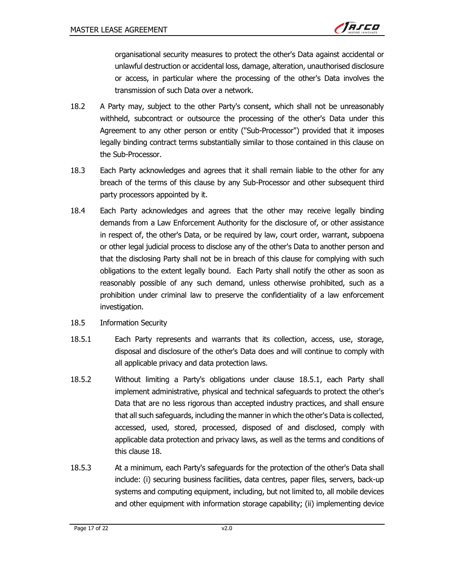

organisational security measures to protect the other's Data against accidental or unlawful destruction or accidental loss, damage, alteration, unauthorised disclosure or access, in particular where the processing of the other's Data involves the transmission of such Data over a network.

- 18.2 A Party may, subject to the other Party's consent, which shall not be unreasonably withheld, subcontract or outsource the processing of the other's Data under this Agreement to any other person or entity ("Sub-Processor") provided that it imposes legally binding contract terms substantially similar to those contained in this clause on the Sub-Processor.
- 18.3 Each Party acknowledges and agrees that it shall remain liable to the other for any breach of the terms of this clause by any Sub-Processor and other subsequent third party processors appointed by it.
- 18.4 Each Party acknowledges and agrees that the other may receive legally binding demands from a Law Enforcement Authority for the disclosure of, or other assistance in respect of, the other's Data, or be required by law, court order, warrant, subpoena or other legal judicial process to disclose any of the other's Data to another person and that the disclosing Party shall not be in breach of this clause for complying with such obligations to the extent legally bound. Each Party shall notify the other as soon as reasonably possible of any such demand, unless otherwise prohibited, such as a prohibition under criminal law to preserve the confidentiality of a law enforcement investigation.
- 18.5 Information Security
- 18.5.1 Each Party represents and warrants that its collection, access, use, storage, disposal and disclosure of the other's Data does and will continue to comply with all applicable privacy and data protection laws.
- 18.5.2 Without limiting a Party's obligations under clause 18.5.1, each Party shall implement administrative, physical and technical safeguards to protect the other's Data that are no less rigorous than accepted industry practices, and shall ensure that all such safeguards, including the manner in which the other's Data is collected, accessed, used, stored, processed, disposed of and disclosed, comply with applicable data protection and privacy laws, as well as the terms and conditions of this clause 18.
- 18.5.3 At a minimum, each Party's safeguards for the protection of the other's Data shall include: (i) securing business facilities, data centres, paper files, servers, back-up systems and computing equipment, including, but not limited to, all mobile devices and other equipment with information storage capability; (ii) implementing device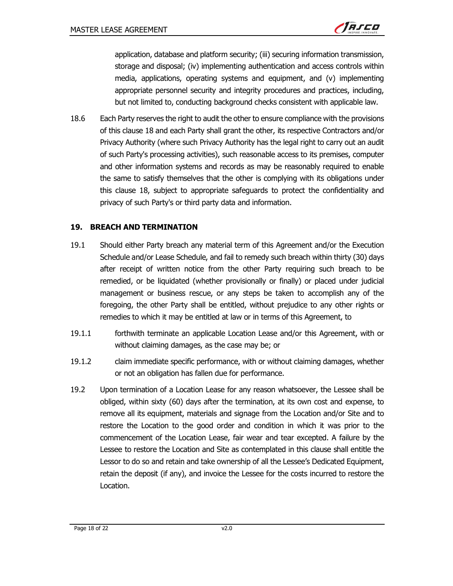

application, database and platform security; (iii) securing information transmission, storage and disposal; (iv) implementing authentication and access controls within media, applications, operating systems and equipment, and (v) implementing appropriate personnel security and integrity procedures and practices, including, but not limited to, conducting background checks consistent with applicable law.

18.6 Each Party reserves the right to audit the other to ensure compliance with the provisions of this clause 18 and each Party shall grant the other, its respective Contractors and/or Privacy Authority (where such Privacy Authority has the legal right to carry out an audit of such Party's processing activities), such reasonable access to its premises, computer and other information systems and records as may be reasonably required to enable the same to satisfy themselves that the other is complying with its obligations under this clause 18, subject to appropriate safeguards to protect the confidentiality and privacy of such Party's or third party data and information.

#### 19. BREACH AND TERMINATION

- 19.1 Should either Party breach any material term of this Agreement and/or the Execution Schedule and/or Lease Schedule, and fail to remedy such breach within thirty (30) days after receipt of written notice from the other Party requiring such breach to be remedied, or be liquidated (whether provisionally or finally) or placed under judicial management or business rescue, or any steps be taken to accomplish any of the foregoing, the other Party shall be entitled, without prejudice to any other rights or remedies to which it may be entitled at law or in terms of this Agreement, to
- 19.1.1 forthwith terminate an applicable Location Lease and/or this Agreement, with or without claiming damages, as the case may be; or
- 19.1.2 claim immediate specific performance, with or without claiming damages, whether or not an obligation has fallen due for performance.
- 19.2 Upon termination of a Location Lease for any reason whatsoever, the Lessee shall be obliged, within sixty (60) days after the termination, at its own cost and expense, to remove all its equipment, materials and signage from the Location and/or Site and to restore the Location to the good order and condition in which it was prior to the commencement of the Location Lease, fair wear and tear excepted. A failure by the Lessee to restore the Location and Site as contemplated in this clause shall entitle the Lessor to do so and retain and take ownership of all the Lessee's Dedicated Equipment, retain the deposit (if any), and invoice the Lessee for the costs incurred to restore the Location.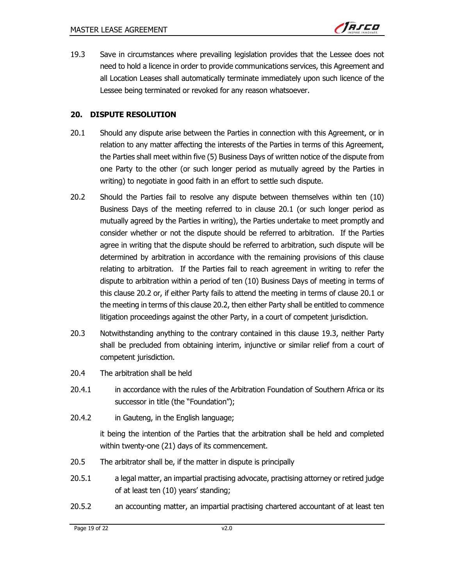19.3 Save in circumstances where prevailing legislation provides that the Lessee does not need to hold a licence in order to provide communications services, this Agreement and all Location Leases shall automatically terminate immediately upon such licence of the Lessee being terminated or revoked for any reason whatsoever.

#### 20. DISPUTE RESOLUTION

- 20.1 Should any dispute arise between the Parties in connection with this Agreement, or in relation to any matter affecting the interests of the Parties in terms of this Agreement, the Parties shall meet within five (5) Business Days of written notice of the dispute from one Party to the other (or such longer period as mutually agreed by the Parties in writing) to negotiate in good faith in an effort to settle such dispute.
- 20.2 Should the Parties fail to resolve any dispute between themselves within ten (10) Business Days of the meeting referred to in clause 20.1 (or such longer period as mutually agreed by the Parties in writing), the Parties undertake to meet promptly and consider whether or not the dispute should be referred to arbitration. If the Parties agree in writing that the dispute should be referred to arbitration, such dispute will be determined by arbitration in accordance with the remaining provisions of this clause relating to arbitration. If the Parties fail to reach agreement in writing to refer the dispute to arbitration within a period of ten (10) Business Days of meeting in terms of this clause 20.2 or, if either Party fails to attend the meeting in terms of clause 20.1 or the meeting in terms of this clause 20.2, then either Party shall be entitled to commence litigation proceedings against the other Party, in a court of competent jurisdiction.
- 20.3 Notwithstanding anything to the contrary contained in this clause 19.3, neither Party shall be precluded from obtaining interim, injunctive or similar relief from a court of competent jurisdiction.
- 20.4 The arbitration shall be held
- 20.4.1 in accordance with the rules of the Arbitration Foundation of Southern Africa or its successor in title (the "Foundation");
- 20.4.2 in Gauteng, in the English language;

it being the intention of the Parties that the arbitration shall be held and completed within twenty-one (21) days of its commencement.

- 20.5 The arbitrator shall be, if the matter in dispute is principally
- 20.5.1 a legal matter, an impartial practising advocate, practising attorney or retired judge of at least ten (10) years' standing;
- 20.5.2 an accounting matter, an impartial practising chartered accountant of at least ten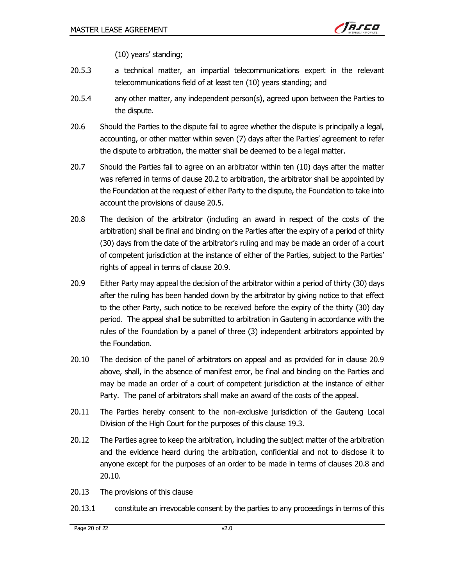

(10) years' standing;

- 20.5.3 a technical matter, an impartial telecommunications expert in the relevant telecommunications field of at least ten (10) years standing; and
- 20.5.4 any other matter, any independent person(s), agreed upon between the Parties to the dispute.
- 20.6 Should the Parties to the dispute fail to agree whether the dispute is principally a legal, accounting, or other matter within seven (7) days after the Parties' agreement to refer the dispute to arbitration, the matter shall be deemed to be a legal matter.
- 20.7 Should the Parties fail to agree on an arbitrator within ten (10) days after the matter was referred in terms of clause 20.2 to arbitration, the arbitrator shall be appointed by the Foundation at the request of either Party to the dispute, the Foundation to take into account the provisions of clause 20.5.
- 20.8 The decision of the arbitrator (including an award in respect of the costs of the arbitration) shall be final and binding on the Parties after the expiry of a period of thirty (30) days from the date of the arbitrator's ruling and may be made an order of a court of competent jurisdiction at the instance of either of the Parties, subject to the Parties' rights of appeal in terms of clause 20.9.
- 20.9 Either Party may appeal the decision of the arbitrator within a period of thirty (30) days after the ruling has been handed down by the arbitrator by giving notice to that effect to the other Party, such notice to be received before the expiry of the thirty (30) day period. The appeal shall be submitted to arbitration in Gauteng in accordance with the rules of the Foundation by a panel of three (3) independent arbitrators appointed by the Foundation.
- 20.10 The decision of the panel of arbitrators on appeal and as provided for in clause 20.9 above, shall, in the absence of manifest error, be final and binding on the Parties and may be made an order of a court of competent jurisdiction at the instance of either Party. The panel of arbitrators shall make an award of the costs of the appeal.
- 20.11 The Parties hereby consent to the non-exclusive jurisdiction of the Gauteng Local Division of the High Court for the purposes of this clause 19.3.
- 20.12 The Parties agree to keep the arbitration, including the subject matter of the arbitration and the evidence heard during the arbitration, confidential and not to disclose it to anyone except for the purposes of an order to be made in terms of clauses 20.8 and 20.10.
- 20.13 The provisions of this clause
- 20.13.1 constitute an irrevocable consent by the parties to any proceedings in terms of this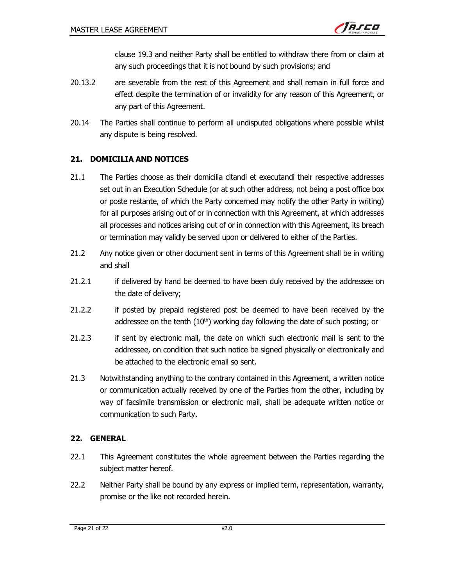clause 19.3 and neither Party shall be entitled to withdraw there from or claim at any such proceedings that it is not bound by such provisions; and

- 20.13.2 are severable from the rest of this Agreement and shall remain in full force and effect despite the termination of or invalidity for any reason of this Agreement, or any part of this Agreement.
- 20.14 The Parties shall continue to perform all undisputed obligations where possible whilst any dispute is being resolved.

# 21. DOMICILIA AND NOTICES

- 21.1 The Parties choose as their domicilia citandi et executandi their respective addresses set out in an Execution Schedule (or at such other address, not being a post office box or poste restante, of which the Party concerned may notify the other Party in writing) for all purposes arising out of or in connection with this Agreement, at which addresses all processes and notices arising out of or in connection with this Agreement, its breach or termination may validly be served upon or delivered to either of the Parties.
- 21.2 Any notice given or other document sent in terms of this Agreement shall be in writing and shall
- 21.2.1 if delivered by hand be deemed to have been duly received by the addressee on the date of delivery;
- 21.2.2 if posted by prepaid registered post be deemed to have been received by the addressee on the tenth  $(10<sup>th</sup>)$  working day following the date of such posting; or
- 21.2.3 if sent by electronic mail, the date on which such electronic mail is sent to the addressee, on condition that such notice be signed physically or electronically and be attached to the electronic email so sent.
- 21.3 Notwithstanding anything to the contrary contained in this Agreement, a written notice or communication actually received by one of the Parties from the other, including by way of facsimile transmission or electronic mail, shall be adequate written notice or communication to such Party.

# 22. GENERAL

- 22.1 This Agreement constitutes the whole agreement between the Parties regarding the subject matter hereof.
- 22.2 Neither Party shall be bound by any express or implied term, representation, warranty, promise or the like not recorded herein.